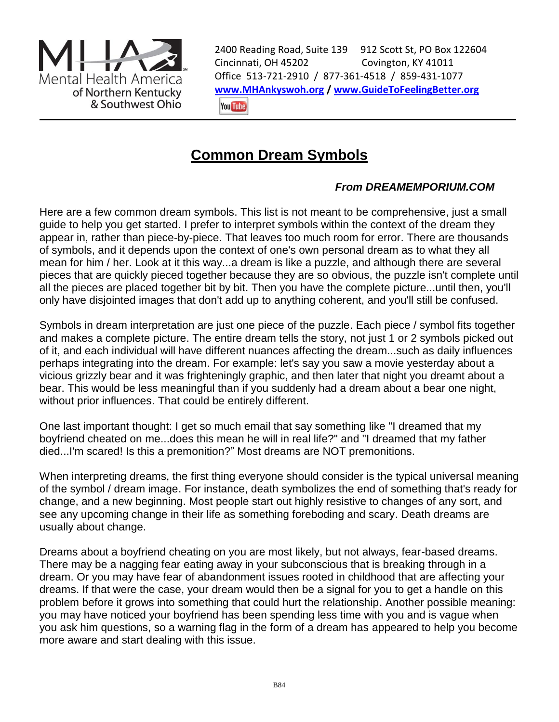

2400 Reading Road, Suite 139 912 Scott St, PO Box 122604 Cincinnati, OH 45202 Covington, KY 41011 Office 513-721-2910 / 877-361-4518 / 859-431-1077 **[www.MHAnkyswoh.org](http://www.mhankyswoh.org/) [/ www.GuideToFeelingBetter.org](http://www.guidetofeelingbetter.org/)You Tube** 

## **Common Dream Symbols**

## *From DREAMEMPORIUM.COM*

Here are a few common dream symbols. This list is not meant to be comprehensive, just a small guide to help you get started. I prefer to interpret symbols within the context of the dream they appear in, rather than piece-by-piece. That leaves too much room for error. There are thousands of symbols, and it depends upon the context of one's own personal dream as to what they all mean for him / her. Look at it this way...a dream is like a puzzle, and although there are several pieces that are quickly pieced together because they are so obvious, the puzzle isn't complete until all the pieces are placed together bit by bit. Then you have the complete picture...until then, you'll only have disjointed images that don't add up to anything coherent, and you'll still be confused.

Symbols in dream interpretation are just one piece of the puzzle. Each piece / symbol fits together and makes a complete picture. The entire dream tells the story, not just 1 or 2 symbols picked out of it, and each individual will have different nuances affecting the dream...such as daily influences perhaps integrating into the dream. For example: let's say you saw a movie yesterday about a vicious grizzly bear and it was frighteningly graphic, and then later that night you dreamt about a bear. This would be less meaningful than if you suddenly had a dream about a bear one night, without prior influences. That could be entirely different.

One last important thought: I get so much email that say something like "I dreamed that my boyfriend cheated on me...does this mean he will in real life?" and "I dreamed that my father died...I'm scared! Is this a premonition?" Most dreams are NOT premonitions.

When interpreting dreams, the first thing everyone should consider is the typical universal meaning of the symbol / dream image. For instance, death symbolizes the end of something that's ready for change, and a new beginning. Most people start out highly resistive to changes of any sort, and see any upcoming change in their life as something foreboding and scary. Death dreams are usually about change.

Dreams about a boyfriend cheating on you are most likely, but not always, fear-based dreams. There may be a nagging fear eating away in your subconscious that is breaking through in a dream. Or you may have fear of abandonment issues rooted in childhood that are affecting your dreams. If that were the case, your dream would then be a signal for you to get a handle on this problem before it grows into something that could hurt the relationship. Another possible meaning: you may have noticed your boyfriend has been spending less time with you and is vague when you ask him questions, so a warning flag in the form of a dream has appeared to help you become more aware and start dealing with this issue.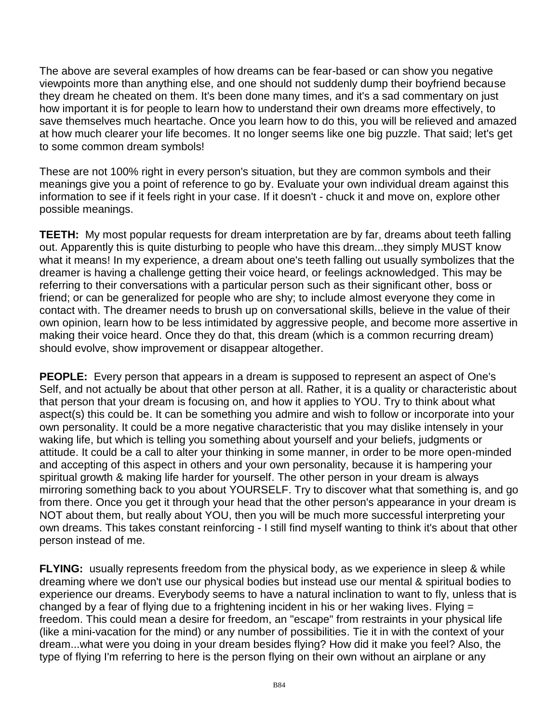The above are several examples of how dreams can be fear-based or can show you negative viewpoints more than anything else, and one should not suddenly dump their boyfriend because they dream he cheated on them. It's been done many times, and it's a sad commentary on just how important it is for people to learn how to understand their own dreams more effectively, to save themselves much heartache. Once you learn how to do this, you will be relieved and amazed at how much clearer your life becomes. It no longer seems like one big puzzle. That said; let's get to some common dream symbols!

These are not 100% right in every person's situation, but they are common symbols and their meanings give you a point of reference to go by. Evaluate your own individual dream against this information to see if it feels right in your case. If it doesn't - chuck it and move on, explore other possible meanings.

**TEETH:** My most popular requests for dream interpretation are by far, dreams about teeth falling out. Apparently this is quite disturbing to people who have this dream...they simply MUST know what it means! In my experience, a dream about one's teeth falling out usually symbolizes that the dreamer is having a challenge getting their voice heard, or feelings acknowledged. This may be referring to their conversations with a particular person such as their significant other, boss or friend; or can be generalized for people who are shy; to include almost everyone they come in contact with. The dreamer needs to brush up on conversational skills, believe in the value of their own opinion, learn how to be less intimidated by aggressive people, and become more assertive in making their voice heard. Once they do that, this dream (which is a common recurring dream) should evolve, show improvement or disappear altogether.

**PEOPLE:** Every person that appears in a dream is supposed to represent an aspect of One's Self, and not actually be about that other person at all. Rather, it is a quality or characteristic about that person that your dream is focusing on, and how it applies to YOU. Try to think about what aspect(s) this could be. It can be something you admire and wish to follow or incorporate into your own personality. It could be a more negative characteristic that you may dislike intensely in your waking life, but which is telling you something about yourself and your beliefs, judgments or attitude. It could be a call to alter your thinking in some manner, in order to be more open-minded and accepting of this aspect in others and your own personality, because it is hampering your spiritual growth & making life harder for yourself. The other person in your dream is always mirroring something back to you about YOURSELF. Try to discover what that something is, and go from there. Once you get it through your head that the other person's appearance in your dream is NOT about them, but really about YOU, then you will be much more successful interpreting your own dreams. This takes constant reinforcing - I still find myself wanting to think it's about that other person instead of me.

**FLYING:** usually represents freedom from the physical body, as we experience in sleep & while dreaming where we don't use our physical bodies but instead use our mental & spiritual bodies to experience our dreams. Everybody seems to have a natural inclination to want to fly, unless that is changed by a fear of flying due to a frightening incident in his or her waking lives. Flying = freedom. This could mean a desire for freedom, an "escape" from restraints in your physical life (like a mini-vacation for the mind) or any number of possibilities. Tie it in with the context of your dream...what were you doing in your dream besides flying? How did it make you feel? Also, the type of flying I'm referring to here is the person flying on their own without an airplane or any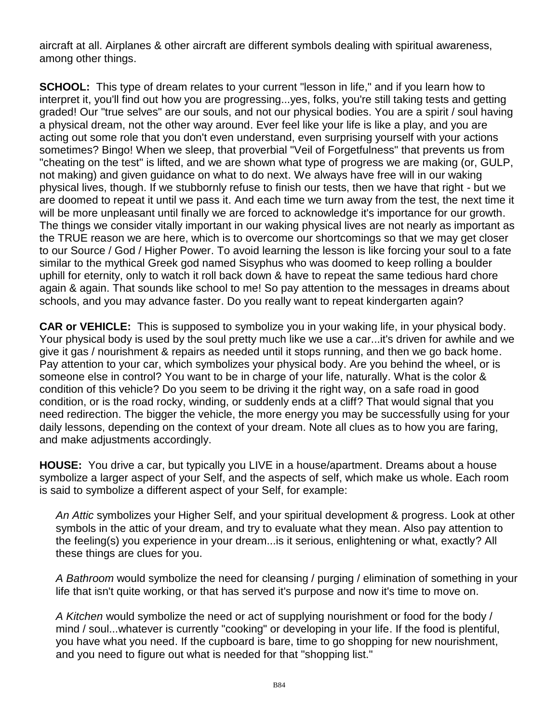aircraft at all. Airplanes & other aircraft are different symbols dealing with spiritual awareness, among other things.

**SCHOOL:** This type of dream relates to your current "lesson in life," and if you learn how to interpret it, you'll find out how you are progressing...yes, folks, you're still taking tests and getting graded! Our "true selves" are our souls, and not our physical bodies. You are a spirit / soul having a physical dream, not the other way around. Ever feel like your life is like a play, and you are acting out some role that you don't even understand, even surprising yourself with your actions sometimes? Bingo! When we sleep, that proverbial "Veil of Forgetfulness" that prevents us from "cheating on the test" is lifted, and we are shown what type of progress we are making (or, GULP, not making) and given guidance on what to do next. We always have free will in our waking physical lives, though. If we stubbornly refuse to finish our tests, then we have that right - but we are doomed to repeat it until we pass it. And each time we turn away from the test, the next time it will be more unpleasant until finally we are forced to acknowledge it's importance for our growth. The things we consider vitally important in our waking physical lives are not nearly as important as the TRUE reason we are here, which is to overcome our shortcomings so that we may get closer to our Source / God / Higher Power. To avoid learning the lesson is like forcing your soul to a fate similar to the mythical Greek god named Sisyphus who was doomed to keep rolling a boulder uphill for eternity, only to watch it roll back down & have to repeat the same tedious hard chore again & again. That sounds like school to me! So pay attention to the messages in dreams about schools, and you may advance faster. Do you really want to repeat kindergarten again?

**CAR or VEHICLE:** This is supposed to symbolize you in your waking life, in your physical body. Your physical body is used by the soul pretty much like we use a car...it's driven for awhile and we give it gas / nourishment & repairs as needed until it stops running, and then we go back home. Pay attention to your car, which symbolizes your physical body. Are you behind the wheel, or is someone else in control? You want to be in charge of your life, naturally. What is the color & condition of this vehicle? Do you seem to be driving it the right way, on a safe road in good condition, or is the road rocky, winding, or suddenly ends at a cliff? That would signal that you need redirection. The bigger the vehicle, the more energy you may be successfully using for your daily lessons, depending on the context of your dream. Note all clues as to how you are faring, and make adjustments accordingly.

**HOUSE:** You drive a car, but typically you LIVE in a house/apartment. Dreams about a house symbolize a larger aspect of your Self, and the aspects of self, which make us whole. Each room is said to symbolize a different aspect of your Self, for example:

*An Attic* symbolizes your Higher Self, and your spiritual development & progress. Look at other symbols in the attic of your dream, and try to evaluate what they mean. Also pay attention to the feeling(s) you experience in your dream...is it serious, enlightening or what, exactly? All these things are clues for you.

*A Bathroom* would symbolize the need for cleansing / purging / elimination of something in your life that isn't quite working, or that has served it's purpose and now it's time to move on.

*A Kitchen* would symbolize the need or act of supplying nourishment or food for the body / mind / soul...whatever is currently "cooking" or developing in your life. If the food is plentiful, you have what you need. If the cupboard is bare, time to go shopping for new nourishment, and you need to figure out what is needed for that "shopping list."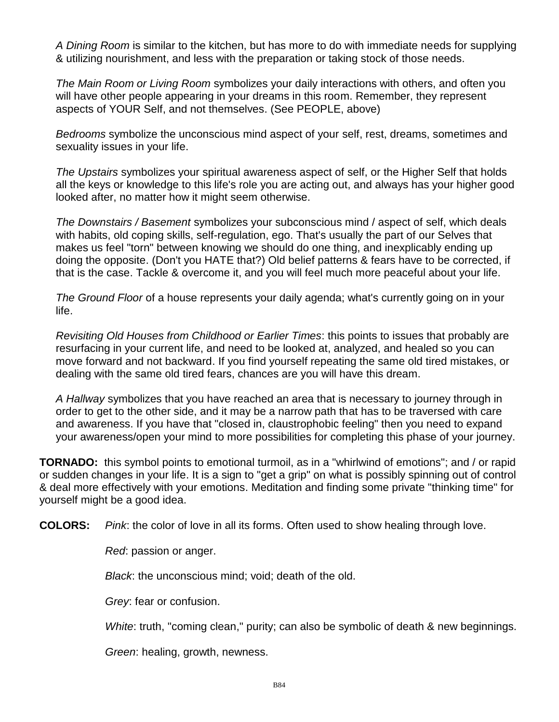*A Dining Room* is similar to the kitchen, but has more to do with immediate needs for supplying & utilizing nourishment, and less with the preparation or taking stock of those needs.

*The Main Room or Living Room* symbolizes your daily interactions with others, and often you will have other people appearing in your dreams in this room. Remember, they represent aspects of YOUR Self, and not themselves. (See PEOPLE, above)

*Bedrooms* symbolize the unconscious mind aspect of your self, rest, dreams, sometimes and sexuality issues in your life.

*The Upstairs* symbolizes your spiritual awareness aspect of self, or the Higher Self that holds all the keys or knowledge to this life's role you are acting out, and always has your higher good looked after, no matter how it might seem otherwise.

*The Downstairs / Basement* symbolizes your subconscious mind / aspect of self, which deals with habits, old coping skills, self-regulation, ego. That's usually the part of our Selves that makes us feel "torn" between knowing we should do one thing, and inexplicably ending up doing the opposite. (Don't you HATE that?) Old belief patterns & fears have to be corrected, if that is the case. Tackle & overcome it, and you will feel much more peaceful about your life.

*The Ground Floor* of a house represents your daily agenda; what's currently going on in your life.

*Revisiting Old Houses from Childhood or Earlier Times*: this points to issues that probably are resurfacing in your current life, and need to be looked at, analyzed, and healed so you can move forward and not backward. If you find yourself repeating the same old tired mistakes, or dealing with the same old tired fears, chances are you will have this dream.

*A Hallway* symbolizes that you have reached an area that is necessary to journey through in order to get to the other side, and it may be a narrow path that has to be traversed with care and awareness. If you have that "closed in, claustrophobic feeling" then you need to expand your awareness/open your mind to more possibilities for completing this phase of your journey.

**TORNADO:** this symbol points to emotional turmoil, as in a "whirlwind of emotions"; and / or rapid or sudden changes in your life. It is a sign to "get a grip" on what is possibly spinning out of control & deal more effectively with your emotions. Meditation and finding some private "thinking time" for yourself might be a good idea.

**COLORS:** *Pink*: the color of love in all its forms. Often used to show healing through love.

*Red*: passion or anger.

*Black*: the unconscious mind; void; death of the old.

*Grey*: fear or confusion.

*White*: truth, "coming clean," purity; can also be symbolic of death & new beginnings.

*Green*: healing, growth, newness.